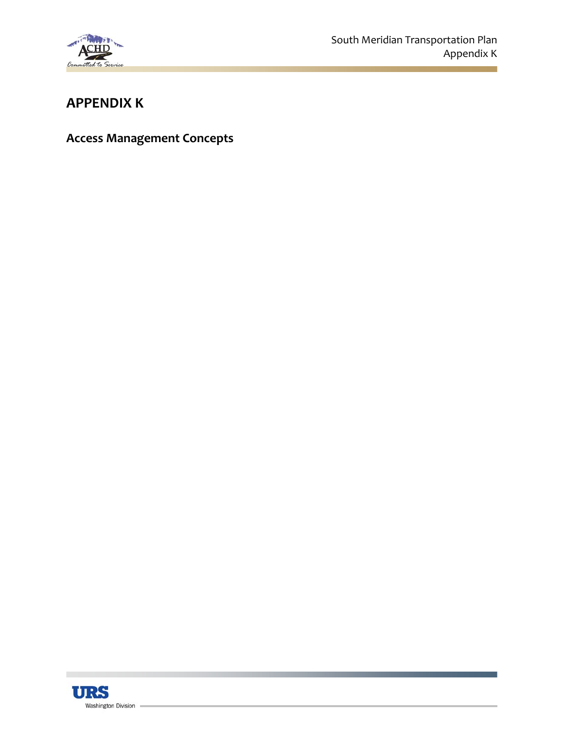

# **APPENDIX K**

**Access Management Concepts**

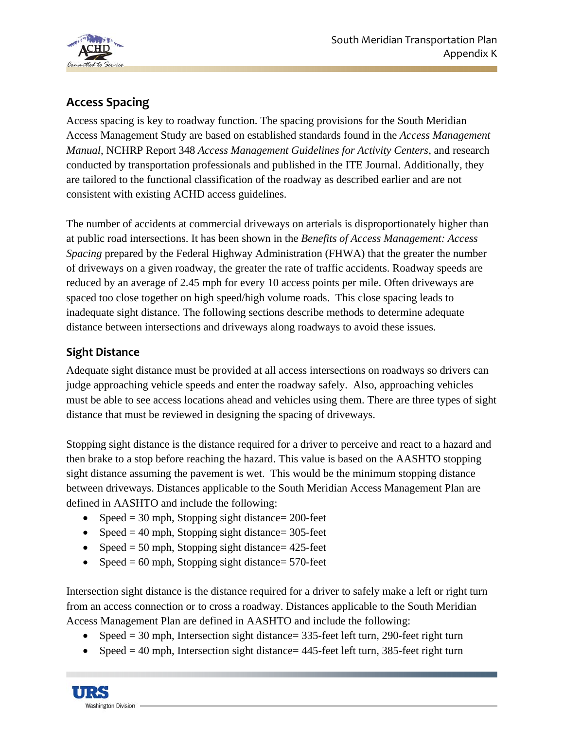

# **Access Spacing**

Access spacing is key to roadway function. The spacing provisions for the South Meridian Access Management Study are based on established standards found in the *Access Management Manual*, NCHRP Report 348 *Access Management Guidelines for Activity Centers*, and research conducted by transportation professionals and published in the ITE Journal. Additionally, they are tailored to the functional classification of the roadway as described earlier and are not consistent with existing ACHD access guidelines.

The number of accidents at commercial driveways on arterials is disproportionately higher than at public road intersections. It has been shown in the *Benefits of Access Management: Access Spacing* prepared by the Federal Highway Administration (FHWA) that the greater the number of driveways on a given roadway, the greater the rate of traffic accidents. Roadway speeds are reduced by an average of 2.45 mph for every 10 access points per mile. Often driveways are spaced too close together on high speed/high volume roads. This close spacing leads to inadequate sight distance. The following sections describe methods to determine adequate distance between intersections and driveways along roadways to avoid these issues.

#### **Sight Distance**

Adequate sight distance must be provided at all access intersections on roadways so drivers can judge approaching vehicle speeds and enter the roadway safely. Also, approaching vehicles must be able to see access locations ahead and vehicles using them. There are three types of sight distance that must be reviewed in designing the spacing of driveways.

Stopping sight distance is the distance required for a driver to perceive and react to a hazard and then brake to a stop before reaching the hazard. This value is based on the AASHTO stopping sight distance assuming the pavement is wet. This would be the minimum stopping distance between driveways. Distances applicable to the South Meridian Access Management Plan are defined in AASHTO and include the following:

- Speed  $= 30$  mph, Stopping sight distance $= 200$ -feet
- Speed  $= 40$  mph, Stopping sight distance= 305-feet
- Speed  $= 50$  mph, Stopping sight distance $= 425$ -feet
- Speed  $= 60$  mph, Stopping sight distance $= 570$ -feet

Intersection sight distance is the distance required for a driver to safely make a left or right turn from an access connection or to cross a roadway. Distances applicable to the South Meridian Access Management Plan are defined in AASHTO and include the following:

- Speed  $= 30$  mph, Intersection sight distance  $= 335$ -feet left turn, 290-feet right turn
- Speed  $= 40$  mph, Intersection sight distance  $= 445$ -feet left turn, 385-feet right turn

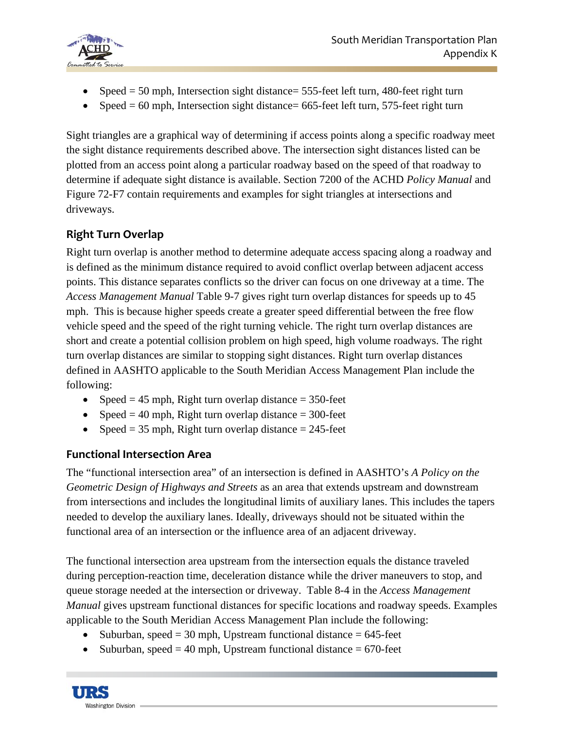

- Speed  $= 50$  mph, Intersection sight distance  $= 555$ -feet left turn, 480-feet right turn
- Speed  $= 60$  mph, Intersection sight distance= 665-feet left turn, 575-feet right turn

Sight triangles are a graphical way of determining if access points along a specific roadway meet the sight distance requirements described above. The intersection sight distances listed can be plotted from an access point along a particular roadway based on the speed of that roadway to determine if adequate sight distance is available. Section 7200 of the ACHD *Policy Manual* and Figure 72-F7 contain requirements and examples for sight triangles at intersections and driveways.

### **Right Turn Overlap**

Right turn overlap is another method to determine adequate access spacing along a roadway and is defined as the minimum distance required to avoid conflict overlap between adjacent access points. This distance separates conflicts so the driver can focus on one driveway at a time. The *Access Management Manual* Table 9-7 gives right turn overlap distances for speeds up to 45 mph. This is because higher speeds create a greater speed differential between the free flow vehicle speed and the speed of the right turning vehicle. The right turn overlap distances are short and create a potential collision problem on high speed, high volume roadways. The right turn overlap distances are similar to stopping sight distances. Right turn overlap distances defined in AASHTO applicable to the South Meridian Access Management Plan include the following:

- Speed  $= 45$  mph, Right turn overlap distance  $= 350$ -feet
- Speed  $= 40$  mph, Right turn overlap distance  $= 300$ -feet
- Speed  $= 35$  mph, Right turn overlap distance  $= 245$ -feet

#### **Functional Intersection Area**

The "functional intersection area" of an intersection is defined in AASHTO's *A Policy on the Geometric Design of Highways and Streets* as an area that extends upstream and downstream from intersections and includes the longitudinal limits of auxiliary lanes. This includes the tapers needed to develop the auxiliary lanes. Ideally, driveways should not be situated within the functional area of an intersection or the influence area of an adjacent driveway.

The functional intersection area upstream from the intersection equals the distance traveled during perception-reaction time, deceleration distance while the driver maneuvers to stop, and queue storage needed at the intersection or driveway. Table 8-4 in the *Access Management Manual* gives upstream functional distances for specific locations and roadway speeds. Examples applicable to the South Meridian Access Management Plan include the following:

- Suburban, speed  $=$  30 mph, Upstream functional distance  $=$  645-feet
- Suburban, speed  $= 40$  mph, Upstream functional distance  $= 670$ -feet

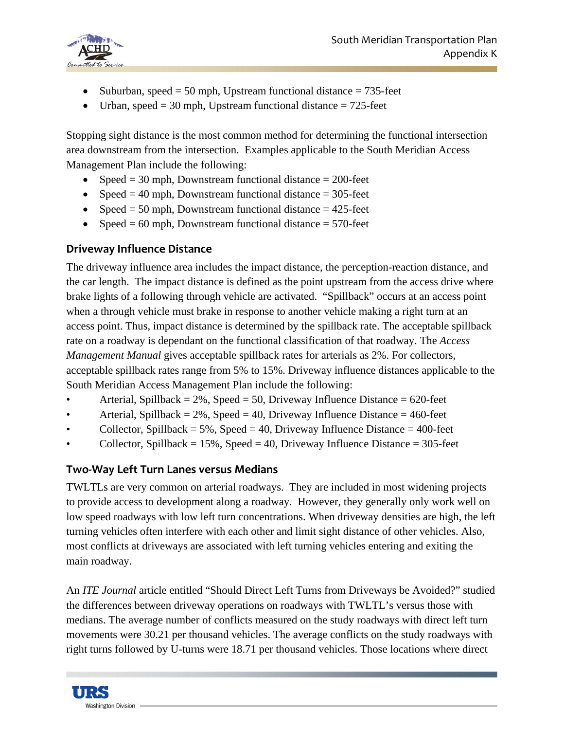

- Suburban, speed  $= 50$  mph, Upstream functional distance  $= 735$ -feet
- Urban, speed  $=$  30 mph, Upstream functional distance  $=$  725-feet

Stopping sight distance is the most common method for determining the functional intersection area downstream from the intersection. Examples applicable to the South Meridian Access Management Plan include the following:

- Speed  $= 30$  mph, Downstream functional distance  $= 200$ -feet
- Speed  $= 40$  mph, Downstream functional distance  $= 305$ -feet
- Speed  $= 50$  mph, Downstream functional distance  $= 425$ -feet
- Speed  $= 60$  mph, Downstream functional distance  $= 570$ -feet

#### **Driveway Influence Distance**

The driveway influence area includes the impact distance, the perception-reaction distance, and the car length. The impact distance is defined as the point upstream from the access drive where brake lights of a following through vehicle are activated. "Spillback" occurs at an access point when a through vehicle must brake in response to another vehicle making a right turn at an access point. Thus, impact distance is determined by the spillback rate. The acceptable spillback rate on a roadway is dependant on the functional classification of that roadway. The *Access Management Manual* gives acceptable spillback rates for arterials as 2%. For collectors, acceptable spillback rates range from 5% to 15%. Driveway influence distances applicable to the South Meridian Access Management Plan include the following:

- Arterial, Spillback =  $2\%$ , Speed =  $50$ , Driveway Influence Distance =  $620$ -feet
- Arterial, Spillback  $= 2\%$ , Speed  $= 40$ , Driveway Influence Distance  $= 460$ -feet
- Collector, Spillback =  $5\%$ , Speed = 40, Driveway Influence Distance = 400-feet
- Collector, Spillback  $= 15\%$ , Speed  $= 40$ , Driveway Influence Distance  $= 305$ -feet

#### **Two‐Way Left Turn Lanes versus Medians**

TWLTLs are very common on arterial roadways. They are included in most widening projects to provide access to development along a roadway. However, they generally only work well on low speed roadways with low left turn concentrations. When driveway densities are high, the left turning vehicles often interfere with each other and limit sight distance of other vehicles. Also, most conflicts at driveways are associated with left turning vehicles entering and exiting the main roadway.

An *ITE Journal* article entitled "Should Direct Left Turns from Driveways be Avoided?" studied the differences between driveway operations on roadways with TWLTL's versus those with medians. The average number of conflicts measured on the study roadways with direct left turn movements were 30.21 per thousand vehicles. The average conflicts on the study roadways with right turns followed by U-turns were 18.71 per thousand vehicles. Those locations where direct

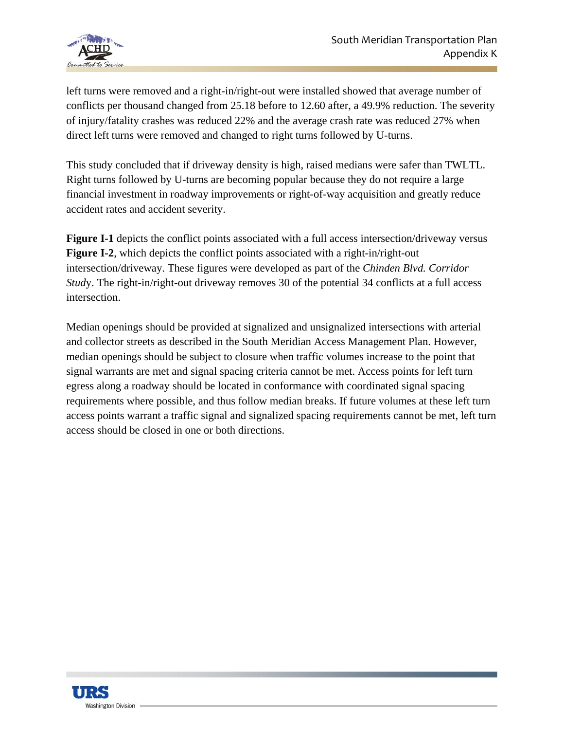

left turns were removed and a right-in/right-out were installed showed that average number of conflicts per thousand changed from 25.18 before to 12.60 after, a 49.9% reduction. The severity of injury/fatality crashes was reduced 22% and the average crash rate was reduced 27% when direct left turns were removed and changed to right turns followed by U-turns.

This study concluded that if driveway density is high, raised medians were safer than TWLTL. Right turns followed by U-turns are becoming popular because they do not require a large financial investment in roadway improvements or right-of-way acquisition and greatly reduce accident rates and accident severity.

**Figure I-1** depicts the conflict points associated with a full access intersection/driveway versus **Figure I-2**, which depicts the conflict points associated with a right-in/right-out intersection/driveway. These figures were developed as part of the *Chinden Blvd. Corridor Study*. The right-in/right-out driveway removes 30 of the potential 34 conflicts at a full access intersection.

Median openings should be provided at signalized and unsignalized intersections with arterial and collector streets as described in the South Meridian Access Management Plan. However, median openings should be subject to closure when traffic volumes increase to the point that signal warrants are met and signal spacing criteria cannot be met. Access points for left turn egress along a roadway should be located in conformance with coordinated signal spacing requirements where possible, and thus follow median breaks. If future volumes at these left turn access points warrant a traffic signal and signalized spacing requirements cannot be met, left turn access should be closed in one or both directions.

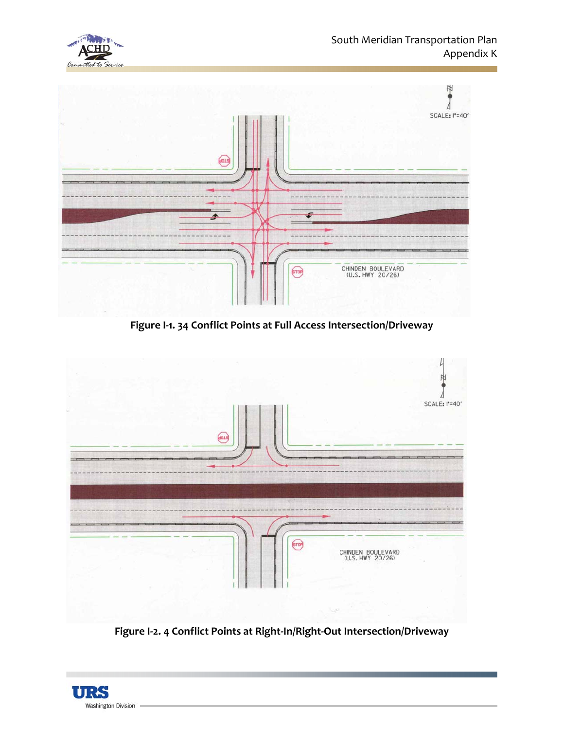



**Figure I‐1. 34 Conflict Points at Full Access Intersection/Driveway**



**Figure I‐2. 4 Conflict Points at Right‐In/Right‐Out Intersection/Driveway**